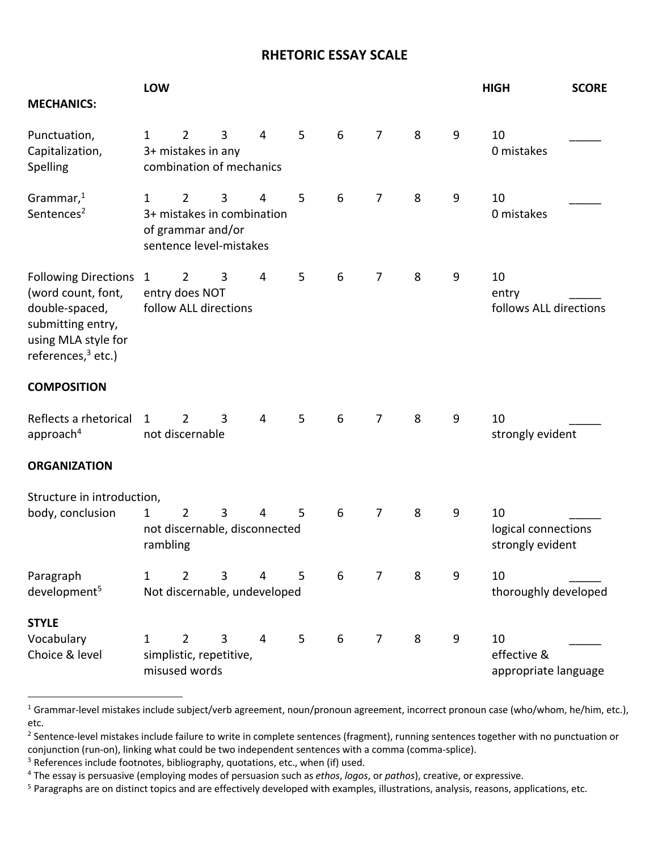## **RHETORIC ESSAY SCALE**

| <b>MECHANICS:</b>                                                                                                                        | LOW                                                                                        |                                                                                              |   |                |   |   |                |   |   | <b>HIGH</b>                                   | <b>SCORE</b> |  |  |
|------------------------------------------------------------------------------------------------------------------------------------------|--------------------------------------------------------------------------------------------|----------------------------------------------------------------------------------------------|---|----------------|---|---|----------------|---|---|-----------------------------------------------|--------------|--|--|
| Punctuation,<br>Capitalization,<br>Spelling                                                                                              | $\mathbf{1}$                                                                               | $\overline{2}$<br>3+ mistakes in any<br>combination of mechanics                             | 3 | $\overline{4}$ | 5 | 6 | $\overline{7}$ | 8 | 9 | 10<br>0 mistakes                              |              |  |  |
| Grammar, $1$<br>Sentences <sup>2</sup>                                                                                                   | $\mathbf{1}$                                                                               | $\overline{2}$<br>3+ mistakes in combination<br>of grammar and/or<br>sentence level-mistakes | 3 | 4              | 5 | 6 | $\overline{7}$ | 8 | 9 | 10<br>0 mistakes                              |              |  |  |
| <b>Following Directions</b><br>(word count, font,<br>double-spaced,<br>submitting entry,<br>using MLA style for<br>references, $3$ etc.) | $\mathbf{1}$                                                                               | $\overline{2}$<br>entry does NOT<br>follow ALL directions                                    | 3 | 4              | 5 | 6 | 7              | 8 | 9 | 10<br>entry<br>follows ALL directions         |              |  |  |
| <b>COMPOSITION</b>                                                                                                                       |                                                                                            |                                                                                              |   |                |   |   |                |   |   |                                               |              |  |  |
| Reflects a rhetorical<br>approach <sup>4</sup>                                                                                           | 1                                                                                          | 2<br>not discernable                                                                         | 3 | $\overline{4}$ | 5 | 6 | $\overline{7}$ | 8 | 9 | 10<br>strongly evident                        |              |  |  |
| <b>ORGANIZATION</b>                                                                                                                      |                                                                                            |                                                                                              |   |                |   |   |                |   |   |                                               |              |  |  |
| Structure in introduction,<br>body, conclusion                                                                                           | $\overline{2}$<br>3<br>5<br>$\mathbf{1}$<br>4<br>not discernable, disconnected<br>rambling |                                                                                              |   |                |   | 6 | $\overline{7}$ | 8 | 9 | 10<br>logical connections<br>strongly evident |              |  |  |
| Paragraph<br>development <sup>5</sup>                                                                                                    | 1                                                                                          | 2<br>Not discernable, undeveloped                                                            | 3 | 4              | 5 | 6 | $\overline{7}$ | 8 | 9 | 10<br>thoroughly developed                    |              |  |  |
| <b>STYLE</b><br>Vocabulary<br>Choice & level                                                                                             | 1                                                                                          | 2<br>simplistic, repetitive,<br>misused words                                                | 3 | $\overline{4}$ | 5 | 6 | $\overline{7}$ | 8 | 9 | 10<br>effective &<br>appropriate language     |              |  |  |

<sup>&</sup>lt;sup>1</sup> Grammar-level mistakes include subject/verb agreement, noun/pronoun agreement, incorrect pronoun case (who/whom, he/him, etc.), etc.

<sup>&</sup>lt;sup>2</sup> Sentence-level mistakes include failure to write in complete sentences (fragment), running sentences together with no punctuation or conjunction (run-on), linking what could be two independent sentences with a comma (comma-splice).

<sup>&</sup>lt;sup>3</sup> References include footnotes, bibliography, quotations, etc., when (if) used.

<sup>4</sup> The essay is persuasive (employing modes of persuasion such as *ethos*, *logos*, or *pathos*), creative, or expressive.

<sup>&</sup>lt;sup>5</sup> Paragraphs are on distinct topics and are effectively developed with examples, illustrations, analysis, reasons, applications, etc.